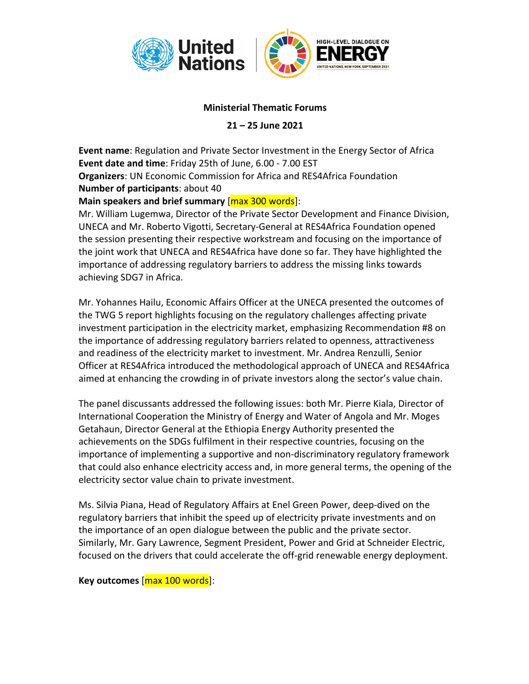

## **Ministerial Thematic Forums**

**21 – 25 June 2021**

**Event name**: Regulation and Private Sector Investment in the Energy Sector of Africa **Event date and time**: Friday 25th of June, 6.00 - 7.00 EST **Organizers**: UN Economic Commission for Africa and RES4Africa Foundation **Number of participants**: about 40

## **Main speakers and brief summary** [max 300 words]:

Mr. William Lugemwa, Director of the Private Sector Development and Finance Division, UNECA and Mr. Roberto Vigotti, Secretary-General at RES4Africa Foundation opened the session presenting their respective workstream and focusing on the importance of the joint work that UNECA and RES4Africa have done so far. They have highlighted the importance of addressing regulatory barriers to address the missing links towards achieving SDG7 in Africa.

Mr. Yohannes Hailu, Economic Affairs Officer at the UNECA presented the outcomes of the TWG 5 report highlights focusing on the regulatory challenges affecting private investment participation in the electricity market, emphasizing Recommendation #8 on the importance of addressing regulatory barriers related to openness, attractiveness and readiness of the electricity market to investment. Mr. Andrea Renzulli, Senior Officer at RES4Africa introduced the methodological approach of UNECA and RES4Africa aimed at enhancing the crowding in of private investors along the sector's value chain.

The panel discussants addressed the following issues: both Mr. Pierre Kiala, Director of International Cooperation the Ministry of Energy and Water of Angola and Mr. Moges Getahaun, Director General at the Ethiopia Energy Authority presented the achievements on the SDGs fulfilment in their respective countries, focusing on the importance of implementing a supportive and non-discriminatory regulatory framework that could also enhance electricity access and, in more general terms, the opening of the electricity sector value chain to private investment.

Ms. Silvia Piana, Head of Regulatory Affairs at Enel Green Power, deep-dived on the regulatory barriers that inhibit the speed up of electricity private investments and on the importance of an open dialogue between the public and the private sector. Similarly, Mr. Gary Lawrence, Segment President, Power and Grid at Schneider Electric, focused on the drivers that could accelerate the off-grid renewable energy deployment.

## **Key outcomes** [max 100 words]: